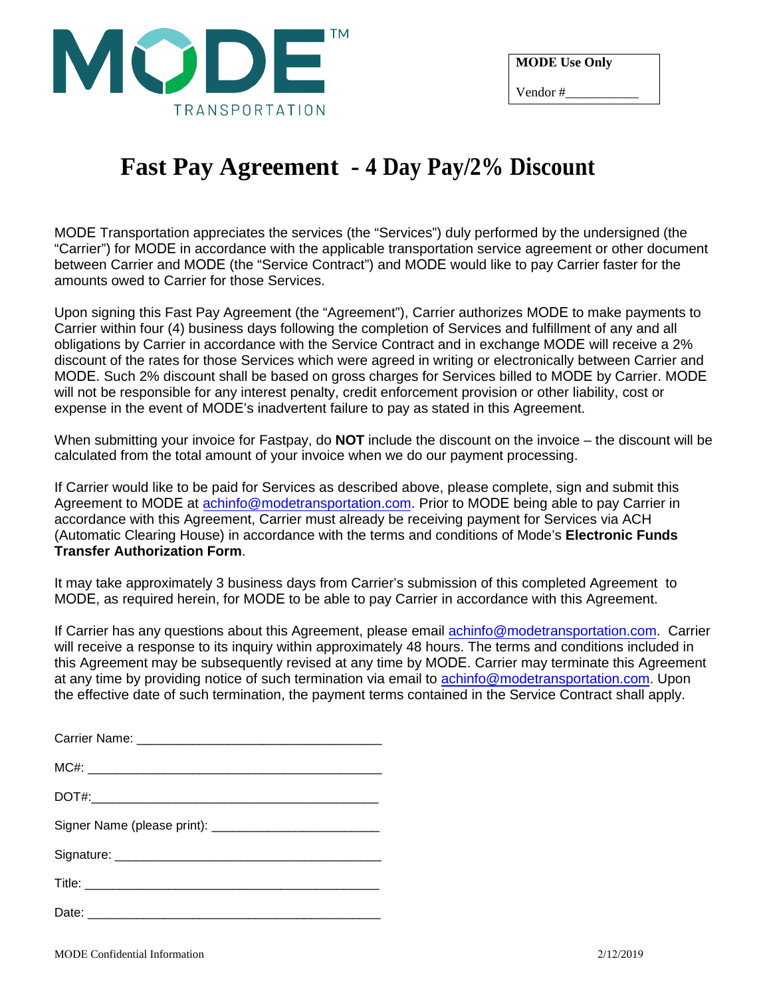

## **Fast Pay Agreement - 4 Day Pay/2% Discount**

MODE Transportation appreciates the services (the "Services") duly performed by the undersigned (the "Carrier") for MODE in accordance with the applicable transportation service agreement or other document between Carrier and MODE (the "Service Contract") and MODE would like to pay Carrier faster for the amounts owed to Carrier for those Services.

Upon signing this Fast Pay Agreement (the "Agreement"), Carrier authorizes MODE to make payments to Carrier within four (4) business days following the completion of Services and fulfillment of any and all obligations by Carrier in accordance with the Service Contract and in exchange MODE will receive a 2% discount of the rates for those Services which were agreed in writing or electronically between Carrier and MODE. Such 2% discount shall be based on gross charges for Services billed to MODE by Carrier. MODE will not be responsible for any interest penalty, credit enforcement provision or other liability, cost or expense in the event of MODE's inadvertent failure to pay as stated in this Agreement.

When submitting your invoice for Fastpay, do **NOT** include the discount on the invoice – the discount will be calculated from the total amount of your invoice when we do our payment processing.

If Carrier would like to be paid for Services as described above, please complete, sign and submit this Agreement to MODE at achinfo@modetransportation.com. Prior to MODE being able to pay Carrier in accordance with this Agreement, Carrier must already be receiving payment for Services via ACH (Automatic Clearing House) in accordance with the terms and conditions of Mode's **Electronic Funds Transfer Authorization Form**.

It may take approximately 3 business days from Carrier's submission of this completed Agreement to MODE, as required herein, for MODE to be able to pay Carrier in accordance with this Agreement.

If Carrier has any questions about this Agreement, please email achinfo@modetransportation.com. Carrier will receive a response to its inquiry within approximately 48 hours. The terms and conditions included in this Agreement may be subsequently revised at any time by MODE. Carrier may terminate this Agreement at any time by providing notice of such termination via email to achinfo@modetransportation.com. Upon the effective date of such termination, the payment terms contained in the Service Contract shall apply.